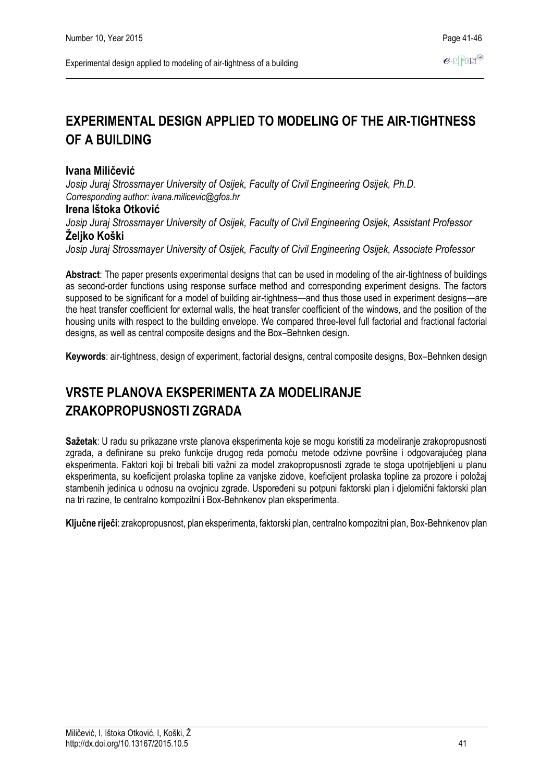# **EXPERIMENTAL DESIGN APPLIED TO MODELING OF THE AIR-TIGHTNESS OF A BUILDING**

## **Ivana Miličević**

*Josip Juraj Strossmayer University of Osijek, Faculty of Civil Engineering Osijek, Ph.D. Corresponding author: ivana.milicevic@gfos.hr*

### **Irena Ištoka Otković**

*Josip Juraj Strossmayer University of Osijek, Faculty of Civil Engineering Osijek, Assistant Professor* **Željko Koški**

*Josip Juraj Strossmayer University of Osijek, Faculty of Civil Engineering Osijek, Associate Professor*

**Abstract**: The paper presents experimental designs that can be used in modeling of the air-tightness of buildings as second-order functions using response surface method and corresponding experiment designs. The factors supposed to be significant for a model of building air-tightness—and thus those used in experiment designs—are the heat transfer coefficient for external walls, the heat transfer coefficient of the windows, and the position of the housing units with respect to the building envelope. We compared three-level full factorial and fractional factorial designs, as well as central composite designs and the Box–Behnken design.

**Keywords**: air-tightness, design of experiment, factorial designs, central composite designs, Box–Behnken design

# **VRSTE PLANOVA EKSPERIMENTA ZA MODELIRANJE ZRAKOPROPUSNOSTI ZGRADA**

**Sažetak**: U radu su prikazane vrste planova eksperimenta koje se mogu koristiti za modeliranje zrakopropusnosti zgrada, a definirane su preko funkcije drugog reda pomoću metode odzivne površine i odgovarajućeg plana eksperimenta. Faktori koji bi trebali biti važni za model zrakopropusnosti zgrade te stoga upotrijebljeni u planu eksperimenta, su koeficijent prolaska topline za vanjske zidove, koeficijent prolaska topline za prozore i položaj stambenih jedinica u odnosu na ovojnicu zgrade. Uspoređeni su potpuni faktorski plan i djelomični faktorski plan na tri razine, te centralno kompozitni i Box-Behnkenov plan eksperimenta.

**Ključne riječi**: zrakopropusnost, plan eksperimenta, faktorski plan, centralno kompozitni plan, Box-Behnkenov plan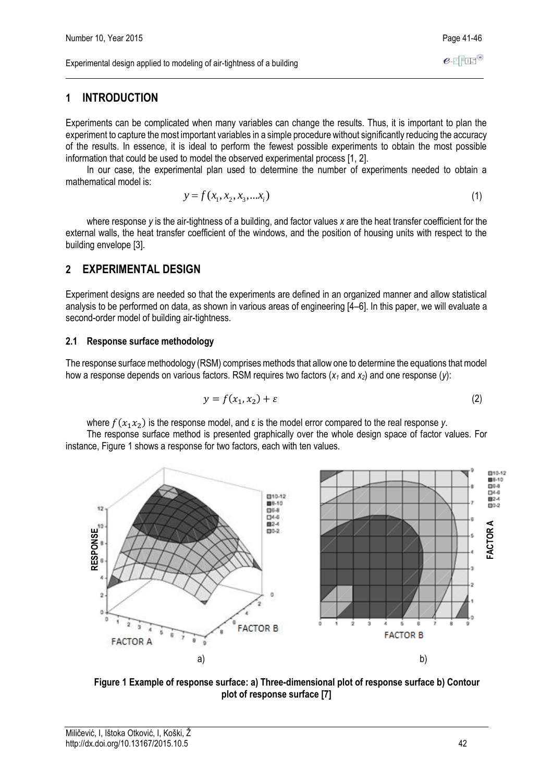Experimental design applied to modeling of air-tightness of a building

## **1 INTRODUCTION**

Experiments can be complicated when many variables can change the results. Thus, it is important to plan the experiment to capture the most important variables in a simple procedure without significantly reducing the accuracy of the results. In essence, it is ideal to perform the fewest possible experiments to obtain the most possible information that could be used to model the observed experimental process [1, 2].

In our case, the experimental plan used to determine the number of experiments needed to obtain a mathematical model is:

$$
y = f(x_1, x_2, x_3, \dots x_i) \tag{1}
$$

where response *y* is the air-tightness of a building, and factor values *x* are the heat transfer coefficient for the external walls, the heat transfer coefficient of the windows, and the position of housing units with respect to the building envelope [3].

## **2 EXPERIMENTAL DESIGN**

Experiment designs are needed so that the experiments are defined in an organized manner and allow statistical analysis to be performed on data, as shown in various areas of engineering [4–6]. In this paper, we will evaluate a second-order model of building air-tightness.

#### **2.1 Response surface methodology**

The response surface methodology (RSM) comprises methods that allow one to determine the equations that model how a response depends on various factors. RSM requires two factors (*x<sup>1</sup>* and *x2*) and one response (*y*):

$$
y = f(x_1, x_2) + \varepsilon \tag{2}
$$

where  $f(x_1 x_2)$  is the response model, and ε is the model error compared to the real response *y*.

The response surface method is presented graphically over the whole design space of factor values. For instance, Figure 1 shows a response for two factors, each with ten values.



**Figure 1 Example of response surface: a) Three-dimensional plot of response surface b) Contour plot of response surface [7]**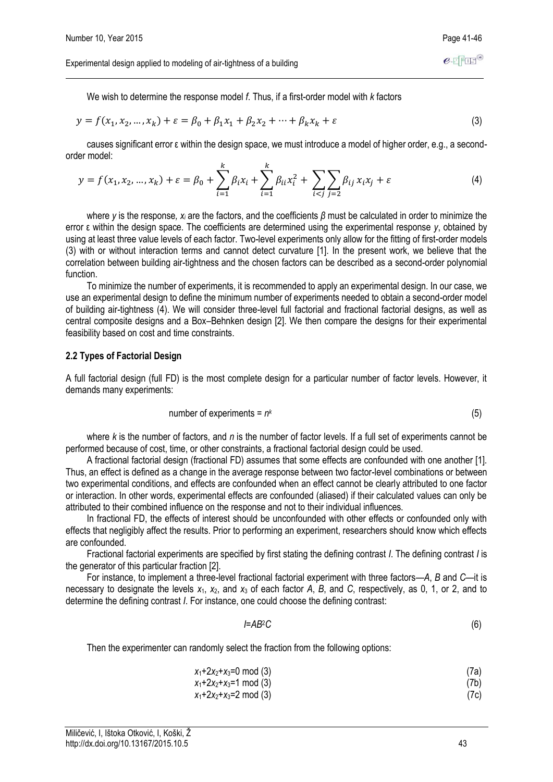We wish to determine the response model *f*. Thus, if a first-order model with *k* factors

$$
y = f(x_1, x_2, ..., x_k) + \varepsilon = \beta_0 + \beta_1 x_1 + \beta_2 x_2 + ... + \beta_k x_k + \varepsilon
$$
\n(3)

causes significant error ε within the design space, we must introduce a model of higher order, e.g., a secondorder model:

$$
y = f(x_1, x_2, ..., x_k) + \varepsilon = \beta_0 + \sum_{i=1}^k \beta_i x_i + \sum_{i=1}^k \beta_{ii} x_i^2 + \sum_{i < j} \sum_{j=2}^k \beta_{ij} x_i x_j + \varepsilon \tag{4}
$$

where *y* is the response*, x<sup>i</sup>* are the factors, and the coefficients *β* must be calculated in order to minimize the error ε within the design space. The coefficients are determined using the experimental response *y*, obtained by using at least three value levels of each factor. Two-level experiments only allow for the fitting of first-order models (3) with or without interaction terms and cannot detect curvature [1]. In the present work, we believe that the correlation between building air-tightness and the chosen factors can be described as a second-order polynomial function.

To minimize the number of experiments, it is recommended to apply an experimental design. In our case, we use an experimental design to define the minimum number of experiments needed to obtain a second-order model of building air-tightness (4). We will consider three-level full factorial and fractional factorial designs, as well as central composite designs and a Box–Behnken design [2]. We then compare the designs for their experimental feasibility based on cost and time constraints.

#### **2.2 Types of Factorial Design**

A full factorial design (full FD) is the most complete design for a particular number of factor levels. However, it demands many experiments:

number of experiments = 
$$
n^k
$$
 (5)

where *k* is the number of factors, and *n* is the number of factor levels. If a full set of experiments cannot be performed because of cost, time, or other constraints, a fractional factorial design could be used.

A fractional factorial design (fractional FD) assumes that some effects are confounded with one another [1]. Thus, an effect is defined as a change in the average response between two factor-level combinations or between two experimental conditions, and effects are confounded when an effect cannot be clearly attributed to one factor or interaction. In other words, experimental effects are confounded (aliased) if their calculated values can only be attributed to their combined influence on the response and not to their individual influences.

In fractional FD, the effects of interest should be unconfounded with other effects or confounded only with effects that negligibly affect the results. Prior to performing an experiment, researchers should know which effects are confounded.

Fractional factorial experiments are specified by first stating the defining contrast *I*. The defining contrast *I* is the generator of this particular fraction [2].

For instance, to implement a three-level fractional factorial experiment with three factors—*A*, *B* and *C*—it is necessary to designate the levels *x*1, *x*2, and *x*<sup>3</sup> of each factor *A*, *B*, and *C*, respectively, as 0, 1, or 2, and to determine the defining contrast *I*. For instance, one could choose the defining contrast:

$$
I = AB^2C \tag{6}
$$

Then the experimenter can randomly select the fraction from the following options:

| $x_1+2x_2+x_3=0 \mod(3)$                                   | (7a) |
|------------------------------------------------------------|------|
| x <sub>1</sub> +2x <sub>2</sub> +x <sub>3</sub> =1 mod (3) | (7b) |

$$
x_1+2x_2+x_3=2 \mod (3)
$$
 (7c)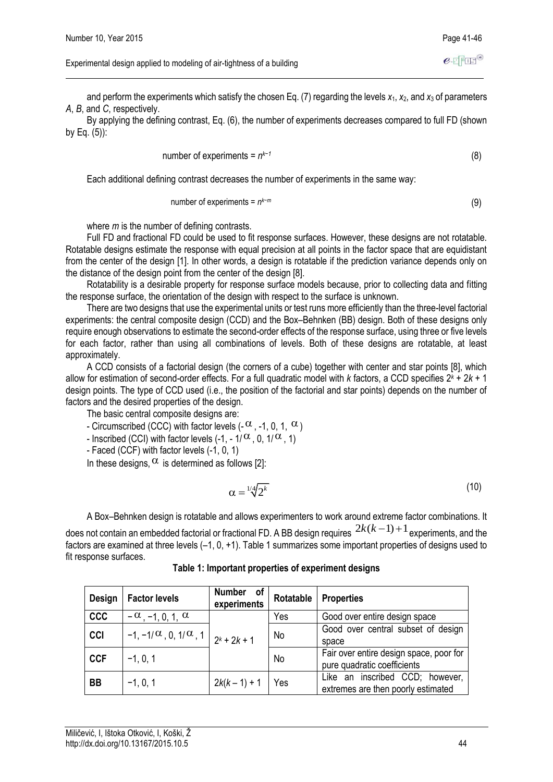Experimental design applied to modeling of air-tightness of a building

and perform the experiments which satisfy the chosen Eq. (7) regarding the levels *x*1, *x*2, and *x*<sup>3</sup> of parameters *A*, *B*, and *C*, respectively.

By applying the defining contrast, Eq. (6), the number of experiments decreases compared to full FD (shown by Eq. (5)):

number of experiments = 
$$
n^{k-1}
$$
 (8)

Each additional defining contrast decreases the number of experiments in the same way:

number of experiments = 
$$
n^{k-m}
$$
 (9)

where *m* is the number of defining contrasts.

Full FD and fractional FD could be used to fit response surfaces. However, these designs are not rotatable. Rotatable designs estimate the response with equal precision at all points in the factor space that are equidistant from the center of the design [1]. In other words, a design is rotatable if the prediction variance depends only on the distance of the design point from the center of the design [8].

Rotatability is a desirable property for response surface models because, prior to collecting data and fitting the response surface, the orientation of the design with respect to the surface is unknown.

There are two designs that use the experimental units or test runs more efficiently than the three-level factorial experiments: the central composite design (CCD) and the Box–Behnken (BB) design. Both of these designs only require enough observations to estimate the second-order effects of the response surface, using three or five levels for each factor, rather than using all combinations of levels. Both of these designs are rotatable, at least approximately.

A CCD consists of a factorial design (the corners of a cube) together with center and star points [8], which allow for estimation of second-order effects. For a full quadratic model with *k* factors, a CCD specifies 2*<sup>k</sup>* + 2*k* + 1 design points. The type of CCD used (i.e., the position of the factorial and star points) depends on the number of factors and the desired properties of the design.

The basic central composite designs are:

- Circumscribed (CCC) with factor levels (- $\alpha$  , -1, 0, 1,  $\alpha$ )

- Inscribed (CCI) with factor levels (-1, - 1/ $^\alpha$ , 0, 1/ $^\alpha$ , 1)

- Faced (CCF) with factor levels (-1, 0, 1)

In these designs,  $\alpha$  is determined as follows [2]:

$$
\alpha = \sqrt[1/4]{2^k} \tag{10}
$$

A Box–Behnken design is rotatable and allows experimenters to work around extreme factor combinations. It does not contain an embedded factorial or fractional FD. A BB design requires  $\,^{2k(k-1)+1}$  experiments, and the factors are examined at three levels (–1, 0, +1). Table 1 summarizes some important properties of designs used to fit response surfaces.

| Design     | <b>Factor levels</b>                                       | <b>Number</b><br>of<br>experiments | Rotatable | <b>Properties</b>                                                      |  |  |  |
|------------|------------------------------------------------------------|------------------------------------|-----------|------------------------------------------------------------------------|--|--|--|
| <b>CCC</b> | $-\alpha$ , -1, 0, 1, $\alpha$                             |                                    | Yes       | Good over entire design space                                          |  |  |  |
| <b>CCI</b> | $-1, -1$ / $\alpha$ , 0, 1/ $\alpha$ , 1   $_{2^{k}+2k+1}$ |                                    | No        | Good over central subset of design<br>space                            |  |  |  |
| <b>CCF</b> | $-1, 0, 1$                                                 |                                    | No        | Fair over entire design space, poor for<br>pure quadratic coefficients |  |  |  |
| <b>BB</b>  | $-1, 0, 1$                                                 | $2k(k-1) + 1$                      | Yes       | Like an inscribed CCD; however,<br>extremes are then poorly estimated  |  |  |  |

**Table 1: Important properties of experiment designs**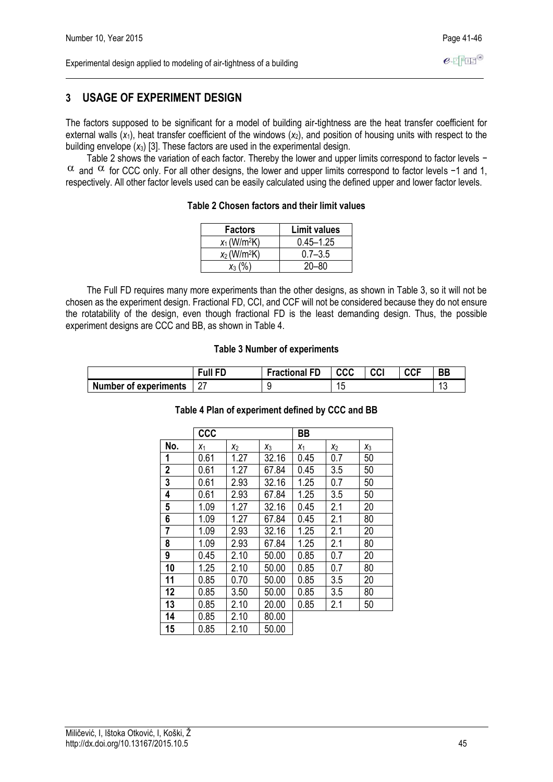# **3 USAGE OF EXPERIMENT DESIGN**

The factors supposed to be significant for a model of building air-tightness are the heat transfer coefficient for external walls  $(x_1)$ , heat transfer coefficient of the windows  $(x_2)$ , and position of housing units with respect to the building envelope (*x*3) [3]. These factors are used in the experimental design.

Table 2 shows the variation of each factor. Thereby the lower and upper limits correspond to factor levels −  $\alpha$  and  $\alpha$  for CCC only. For all other designs, the lower and upper limits correspond to factor levels −1 and 1, respectively. All other factor levels used can be easily calculated using the defined upper and lower factor levels.

#### **Table 2 Chosen factors and their limit values**

| <b>Factors</b>             | <b>Limit values</b> |  |  |
|----------------------------|---------------------|--|--|
| $x_1$ (W/m <sup>2</sup> K) | $0.45 - 1.25$       |  |  |
| $x_2$ (W/m <sup>2</sup> K) | $0.7 - 3.5$         |  |  |
| $x_3$ (%)                  | $20 - 80$           |  |  |

The Full FD requires many more experiments than the other designs, as shown in Table 3, so it will not be chosen as the experiment design. Fractional FD, CCI, and CCF will not be considered because they do not ensure the rotatability of the design, even though fractional FD is the least demanding design. Thus, the possible experiment designs are CCC and BB, as shown in Table 4.

#### **Table 3 Number of experiments**

|                              | Full FD. | <b>Fractional FD</b> | <b>CCC</b> | CCI | <b>CCF</b> | <b>BB</b> |
|------------------------------|----------|----------------------|------------|-----|------------|-----------|
| <b>Number of experiments</b> | ۷        |                      | ∪ו         |     |            | $\sim$    |

### **Table 4 Plan of experiment defined by CCC and BB**

|                | <b>CCC</b> |       |       | BB    |       |       |
|----------------|------------|-------|-------|-------|-------|-------|
| No.            | $X_1$      | $x_2$ | $X_3$ | $X_1$ | $x_2$ | $X_3$ |
| 1              | 0.61       | 1.27  | 32.16 | 0.45  | 0.7   | 50    |
| $\overline{2}$ | 0.61       | 1.27  | 67.84 | 0.45  | 3.5   | 50    |
| 3              | 0.61       | 2.93  | 32.16 | 1.25  | 0.7   | 50    |
| 4              | 0.61       | 2.93  | 67.84 | 1.25  | 3.5   | 50    |
| 5              | 1.09       | 1.27  | 32.16 | 0.45  | 2.1   | 20    |
| 6              | 1.09       | 1.27  | 67.84 | 0.45  | 2.1   | 80    |
| 7              | 1.09       | 2.93  | 32.16 | 1.25  | 2.1   | 20    |
| 8              | 1.09       | 2.93  | 67.84 | 1.25  | 2.1   | 80    |
| 9              | 0.45       | 2.10  | 50.00 | 0.85  | 0.7   | 20    |
| 10             | 1.25       | 2.10  | 50.00 | 0.85  | 0.7   | 80    |
| 11             | 0.85       | 0.70  | 50.00 | 0.85  | 3.5   | 20    |
| 12             | 0.85       | 3.50  | 50.00 | 0.85  | 3.5   | 80    |
| 13             | 0.85       | 2.10  | 20.00 | 0.85  | 2.1   | 50    |
| 14             | 0.85       | 2.10  | 80.00 |       |       |       |
| 15             | 0.85       | 2.10  | 50.00 |       |       |       |